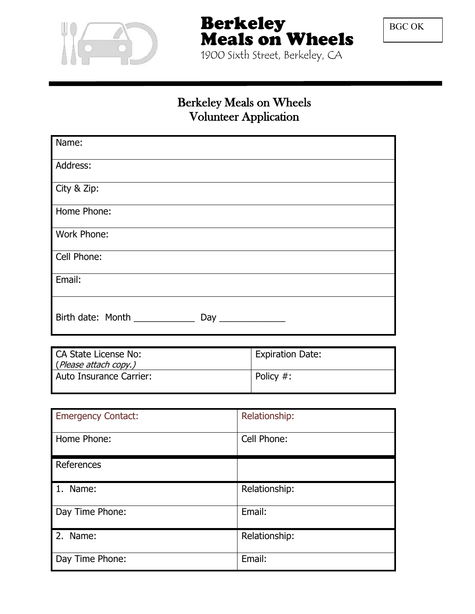

Berkeley Meals on Wheels

BGC OK

1900 Sixth Street, Berkeley, CA

# Berkeley Meals on Wheels Volunteer Application

| Name:                             |
|-----------------------------------|
| Address:                          |
| City & Zip:                       |
| Home Phone:                       |
| Work Phone:                       |
| Cell Phone:                       |
| Email:                            |
| Birth date: Month ________<br>Day |

| CA State License No:    | <b>Expiration Date:</b> |
|-------------------------|-------------------------|
| (Please attach copy.)   |                         |
| Auto Insurance Carrier: | Policy #:               |

| <b>Emergency Contact:</b> | Relationship: |
|---------------------------|---------------|
| Home Phone:               | Cell Phone:   |
| References                |               |
| 1. Name:                  | Relationship: |
| Day Time Phone:           | Email:        |
| 2. Name:                  | Relationship: |
| Day Time Phone:           | Email:        |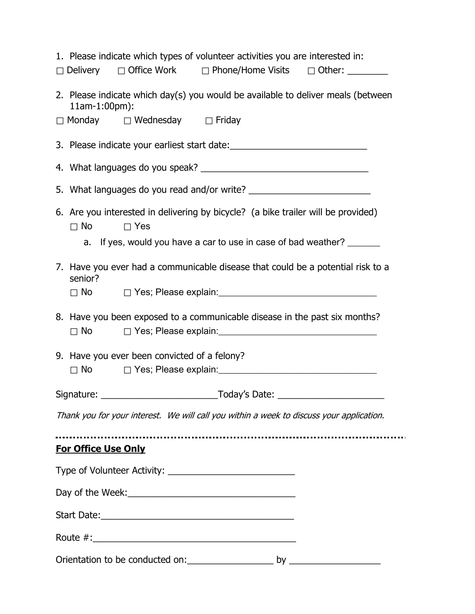| 1. Please indicate which types of volunteer activities you are interested in:                             |  |  |  |  |  |  |
|-----------------------------------------------------------------------------------------------------------|--|--|--|--|--|--|
| □ Delivery □ Office Work □ Phone/Home Visits □ Other: _______                                             |  |  |  |  |  |  |
| 2. Please indicate which day(s) you would be available to deliver meals (between<br>11am-1:00pm):         |  |  |  |  |  |  |
| $\Box$ Monday $\Box$ Wednesday $\Box$ Friday                                                              |  |  |  |  |  |  |
| 3. Please indicate your earliest start date: ___________________________________                          |  |  |  |  |  |  |
|                                                                                                           |  |  |  |  |  |  |
|                                                                                                           |  |  |  |  |  |  |
| 6. Are you interested in delivering by bicycle? (a bike trailer will be provided)<br>$\Box$ No $\Box$ Yes |  |  |  |  |  |  |
| a. If yes, would you have a car to use in case of bad weather?                                            |  |  |  |  |  |  |
| 7. Have you ever had a communicable disease that could be a potential risk to a<br>senior?                |  |  |  |  |  |  |
|                                                                                                           |  |  |  |  |  |  |
| 8. Have you been exposed to a communicable disease in the past six months?                                |  |  |  |  |  |  |
| 9. Have you ever been convicted of a felony?                                                              |  |  |  |  |  |  |
|                                                                                                           |  |  |  |  |  |  |
|                                                                                                           |  |  |  |  |  |  |
| Thank you for your interest. We will call you within a week to discuss your application.                  |  |  |  |  |  |  |
| <b>For Office Use Only</b>                                                                                |  |  |  |  |  |  |
|                                                                                                           |  |  |  |  |  |  |
|                                                                                                           |  |  |  |  |  |  |
|                                                                                                           |  |  |  |  |  |  |
|                                                                                                           |  |  |  |  |  |  |
|                                                                                                           |  |  |  |  |  |  |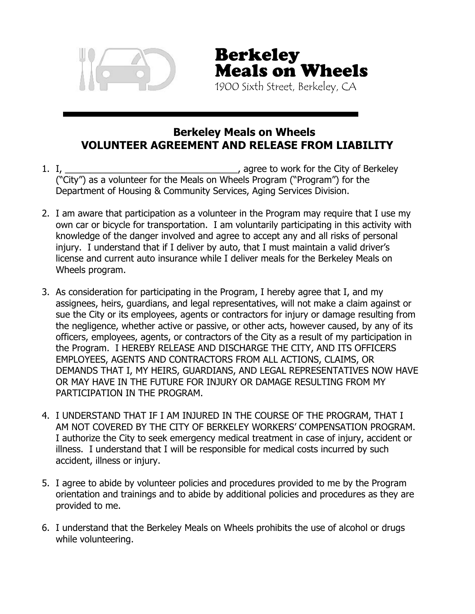

Berkeley Meals on Wheels 1900 Sixth Street, Berkeley, CA

### **Berkeley Meals on Wheels VOLUNTEER AGREEMENT AND RELEASE FROM LIABILITY**

- 1. I, \_\_\_\_\_\_\_\_\_\_\_\_\_\_\_\_\_\_\_\_\_\_\_\_\_\_\_\_\_\_\_\_\_, agree to work for the City of Berkeley ("City") as a volunteer for the Meals on Wheels Program ("Program") for the Department of Housing & Community Services, Aging Services Division.
- 2. I am aware that participation as a volunteer in the Program may require that I use my own car or bicycle for transportation. I am voluntarily participating in this activity with knowledge of the danger involved and agree to accept any and all risks of personal injury. I understand that if I deliver by auto, that I must maintain a valid driver's license and current auto insurance while I deliver meals for the Berkeley Meals on Wheels program.
- 3. As consideration for participating in the Program, I hereby agree that I, and my assignees, heirs, guardians, and legal representatives, will not make a claim against or sue the City or its employees, agents or contractors for injury or damage resulting from the negligence, whether active or passive, or other acts, however caused, by any of its officers, employees, agents, or contractors of the City as a result of my participation in the Program. I HEREBY RELEASE AND DISCHARGE THE CITY, AND ITS OFFICERS EMPLOYEES, AGENTS AND CONTRACTORS FROM ALL ACTIONS, CLAIMS, OR DEMANDS THAT I, MY HEIRS, GUARDIANS, AND LEGAL REPRESENTATIVES NOW HAVE OR MAY HAVE IN THE FUTURE FOR INJURY OR DAMAGE RESULTING FROM MY PARTICIPATION IN THE PROGRAM.
- 4. I UNDERSTAND THAT IF I AM INJURED IN THE COURSE OF THE PROGRAM, THAT I AM NOT COVERED BY THE CITY OF BERKELEY WORKERS' COMPENSATION PROGRAM. I authorize the City to seek emergency medical treatment in case of injury, accident or illness. I understand that I will be responsible for medical costs incurred by such accident, illness or injury.
- 5. I agree to abide by volunteer policies and procedures provided to me by the Program orientation and trainings and to abide by additional policies and procedures as they are provided to me.
- 6. I understand that the Berkeley Meals on Wheels prohibits the use of alcohol or drugs while volunteering.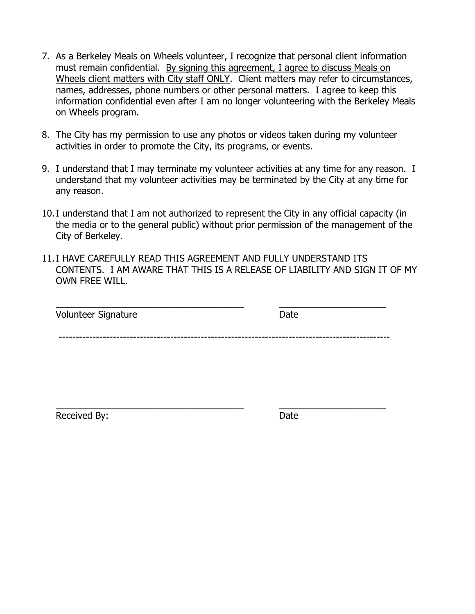- 7. As a Berkeley Meals on Wheels volunteer, I recognize that personal client information must remain confidential. By signing this agreement, I agree to discuss Meals on Wheels client matters with City staff ONLY. Client matters may refer to circumstances, names, addresses, phone numbers or other personal matters. I agree to keep this information confidential even after I am no longer volunteering with the Berkeley Meals on Wheels program.
- 8. The City has my permission to use any photos or videos taken during my volunteer activities in order to promote the City, its programs, or events.
- 9. I understand that I may terminate my volunteer activities at any time for any reason. I understand that my volunteer activities may be terminated by the City at any time for any reason.
- 10.I understand that I am not authorized to represent the City in any official capacity (in the media or to the general public) without prior permission of the management of the City of Berkeley.
- 11.I HAVE CAREFULLY READ THIS AGREEMENT AND FULLY UNDERSTAND ITS CONTENTS. I AM AWARE THAT THIS IS A RELEASE OF LIABILITY AND SIGN IT OF MY OWN FREE WILL.

| Volunteer Signature | Date |  |
|---------------------|------|--|
|                     |      |  |
|                     |      |  |

Received By: **Date** 

\_\_\_\_\_\_\_\_\_\_\_\_\_\_\_\_\_\_\_\_\_\_\_\_\_\_\_\_\_\_\_\_\_\_\_\_\_ \_\_\_\_\_\_\_\_\_\_\_\_\_\_\_\_\_\_\_\_\_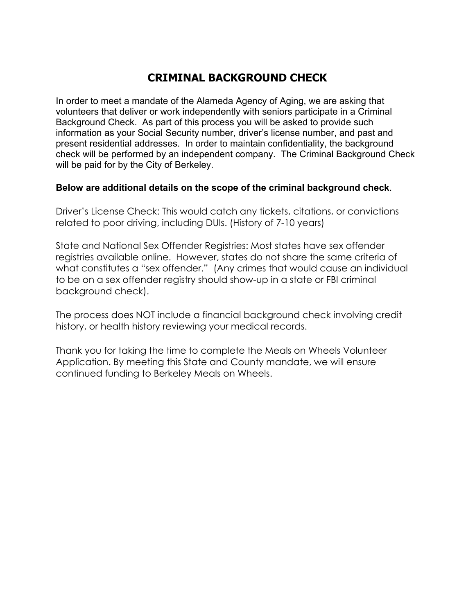#### **CRIMINAL BACKGROUND CHECK**

In order to meet a mandate of the Alameda Agency of Aging, we are asking that volunteers that deliver or work independently with seniors participate in a Criminal Background Check. As part of this process you will be asked to provide such information as your Social Security number, driver's license number, and past and present residential addresses. In order to maintain confidentiality, the background check will be performed by an independent company. The Criminal Background Check will be paid for by the City of Berkeley.

#### **Below are additional details on the scope of the criminal background check**.

Driver's License Check: This would catch any tickets, citations, or convictions related to poor driving, including DUIs. (History of 7-10 years)

State and National Sex Offender Registries: Most states have sex offender registries available online. However, states do not share the same criteria of what constitutes a "sex offender." (Any crimes that would cause an individual to be on a sex offender registry should show-up in a state or FBI criminal background check).

The process does NOT include a financial background check involving credit history, or health history reviewing your medical records.

Thank you for taking the time to complete the Meals on Wheels Volunteer Application. By meeting this State and County mandate, we will ensure continued funding to Berkeley Meals on Wheels.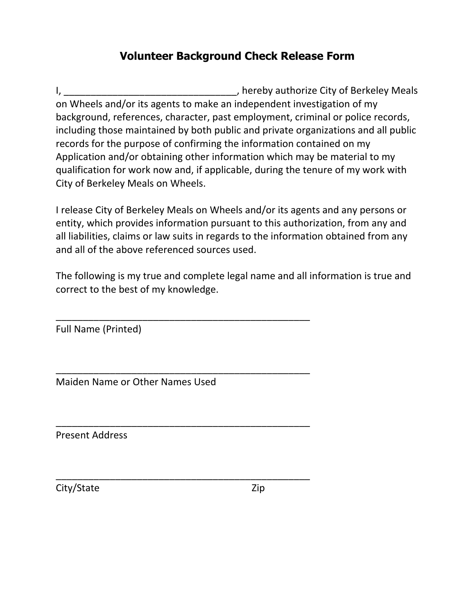## **Volunteer Background Check Release Form**

I, \_\_\_\_\_\_\_\_\_\_\_\_\_\_\_\_\_\_\_\_\_\_\_\_\_\_\_\_\_\_\_\_\_, hereby authorize City of Berkeley Meals on Wheels and/or its agents to make an independent investigation of my background, references, character, past employment, criminal or police records, including those maintained by both public and private organizations and all public records for the purpose of confirming the information contained on my Application and/or obtaining other information which may be material to my qualification for work now and, if applicable, during the tenure of my work with City of Berkeley Meals on Wheels.

I release City of Berkeley Meals on Wheels and/or its agents and any persons or entity, which provides information pursuant to this authorization, from any and all liabilities, claims or law suits in regards to the information obtained from any and all of the above referenced sources used.

The following is my true and complete legal name and all information is true and correct to the best of my knowledge.

\_\_\_\_\_\_\_\_\_\_\_\_\_\_\_\_\_\_\_\_\_\_\_\_\_\_\_\_\_\_\_\_\_\_\_\_\_\_\_\_\_\_\_\_\_\_\_

\_\_\_\_\_\_\_\_\_\_\_\_\_\_\_\_\_\_\_\_\_\_\_\_\_\_\_\_\_\_\_\_\_\_\_\_\_\_\_\_\_\_\_\_\_\_\_

\_\_\_\_\_\_\_\_\_\_\_\_\_\_\_\_\_\_\_\_\_\_\_\_\_\_\_\_\_\_\_\_\_\_\_\_\_\_\_\_\_\_\_\_\_\_\_

\_\_\_\_\_\_\_\_\_\_\_\_\_\_\_\_\_\_\_\_\_\_\_\_\_\_\_\_\_\_\_\_\_\_\_\_\_\_\_\_\_\_\_\_\_\_\_

Full Name (Printed)

Maiden Name or Other Names Used

Present Address

City/State Zip